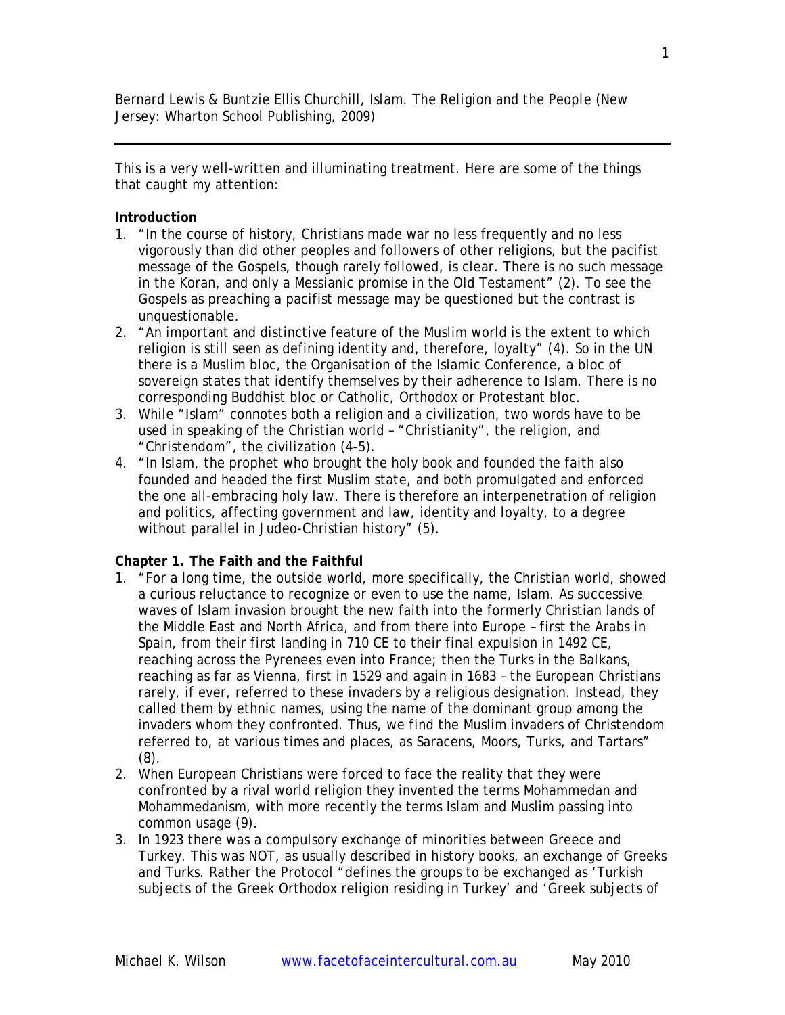Bernard Lewis & Buntzie Ellis Churchill, *Islam. The Religion and the People* (New Jersey: Wharton School Publishing, 2009)

This is a very well-written and illuminating treatment. Here are some of the things that caught my attention:

#### **Introduction**

- 1. "In the course of history, Christians made war no less frequently and no less vigorously than did other peoples and followers of other religions, but the pacifist message of the Gospels, though rarely followed, is clear. There is no such message in the Koran, and only a Messianic promise in the Old Testament" (2). To see the Gospels as preaching a pacifist message may be questioned but the contrast is unquestionable.
- 2. "An important and distinctive feature of the Muslim world is the extent to which religion is still seen as defining identity and, therefore, loyalty" (4). So in the UN there is a Muslim bloc, the Organisation of the Islamic Conference, a bloc of sovereign states that identify themselves by their adherence to Islam. There is no corresponding Buddhist bloc or Catholic, Orthodox or Protestant bloc.
- 3. While "Islam" connotes both a religion and a civilization, two words have to be used in speaking of the Christian world – "Christianity", the religion, and "Christendom", the civilization (4-5).
- 4. "In Islam, the prophet who brought the holy book and founded the faith also founded and headed the first Muslim state, and both promulgated and enforced the one all-embracing holy law. There is therefore an interpenetration of religion and politics, affecting government and law, identity and loyalty, to a degree without parallel in Judeo-Christian history" (5).

#### **Chapter 1. The Faith and the Faithful**

- 1. "For a long time, the outside world, more specifically, the Christian world, showed a curious reluctance to recognize or even to use the name, Islam. As successive waves of Islam invasion brought the new faith into the formerly Christian lands of the Middle East and North Africa, and from there into Europe – first the Arabs in Spain, from their first landing in 710 CE to their final expulsion in 1492 CE, reaching across the Pyrenees even into France; then the Turks in the Balkans, reaching as far as Vienna, first in 1529 and again in 1683 – the European Christians rarely, if ever, referred to these invaders by a religious designation. Instead, they called them by ethnic names, using the name of the dominant group among the invaders whom they confronted. Thus, we find the Muslim invaders of Christendom referred to, at various times and places, as Saracens, Moors, Turks, and Tartars" (8).
- 2. When European Christians were forced to face the reality that they were confronted by a rival world religion they invented the terms Mohammedan and Mohammedanism, with more recently the terms Islam and Muslim passing into common usage (9).
- 3. In 1923 there was a compulsory exchange of minorities between Greece and Turkey. This was NOT, as usually described in history books, an exchange of Greeks and Turks. Rather the Protocol "defines the groups to be exchanged as 'Turkish subjects of the Greek Orthodox religion residing in Turkey' and 'Greek subjects of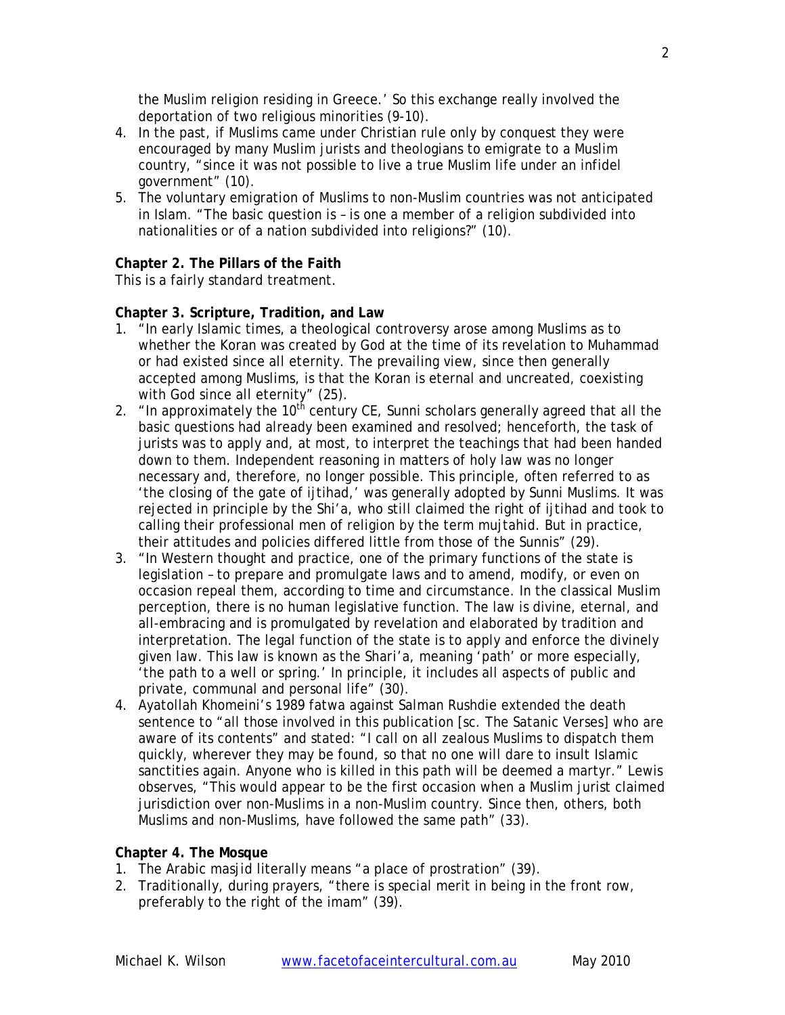the Muslim religion residing in Greece.' So this exchange really involved the deportation of two religious minorities (9-10).

- 4. In the past, if Muslims came under Christian rule only by conquest they were encouraged by many Muslim jurists and theologians to emigrate to a Muslim country, "since it was not possible to live a true Muslim life under an infidel government" (10).
- 5. The voluntary emigration of Muslims to non-Muslim countries was not anticipated in Islam. "The basic question is – is one a member of a religion subdivided into nationalities or of a nation subdivided into religions?" (10).

# **Chapter 2. The Pillars of the Faith**

This is a fairly standard treatment.

### **Chapter 3. Scripture, Tradition, and Law**

- 1. "In early Islamic times, a theological controversy arose among Muslims as to whether the Koran was created by God at the time of its revelation to Muhammad or had existed since all eternity. The prevailing view, since then generally accepted among Muslims, is that the Koran is eternal and uncreated, coexisting with God since all eternity" (25).
- 2. "In approximately the  $10<sup>th</sup>$  century CE, Sunni scholars generally agreed that all the basic questions had already been examined and resolved; henceforth, the task of jurists was to apply and, at most, to interpret the teachings that had been handed down to them. Independent reasoning in matters of holy law was no longer necessary and, therefore, no longer possible. This principle, often referred to as 'the closing of the gate of ijtihad,' was generally adopted by Sunni Muslims. It was rejected in principle by the Shi'a, who still claimed the right of ijtihad and took to calling their professional men of religion by the term mujtahid. But in practice, their attitudes and policies differed little from those of the Sunnis" (29).
- 3. "In Western thought and practice, one of the primary functions of the state is legislation – to prepare and promulgate laws and to amend, modify, or even on occasion repeal them, according to time and circumstance. In the classical Muslim perception, there is no human legislative function. The law is divine, eternal, and all-embracing and is promulgated by revelation and elaborated by tradition and interpretation. The legal function of the state is to apply and enforce the divinely given law. This law is known as the *Shari'a*, meaning 'path' or more especially, 'the path to a well or spring.' In principle, it includes all aspects of public and private, communal and personal life" (30).
- 4. Ayatollah Khomeini's 1989 fatwa against Salman Rushdie extended the death sentence to "all those involved in this publication [sc. The Satanic Verses] who are aware of its contents" and stated: "I call on all zealous Muslims to dispatch them quickly, wherever they may be found, so that no one will dare to insult Islamic sanctities again. Anyone who is killed in this path will be deemed a martyr." Lewis observes, "This would appear to be the first occasion when a Muslim jurist claimed jurisdiction over non-Muslims in a non-Muslim country. Since then, others, both Muslims and non-Muslims, have followed the same path" (33).

#### **Chapter 4. The Mosque**

- 1. The Arabic *masjid* literally means "a place of prostration" (39).
- 2. Traditionally, during prayers, "there is special merit in being in the front row, preferably to the right of the imam" (39).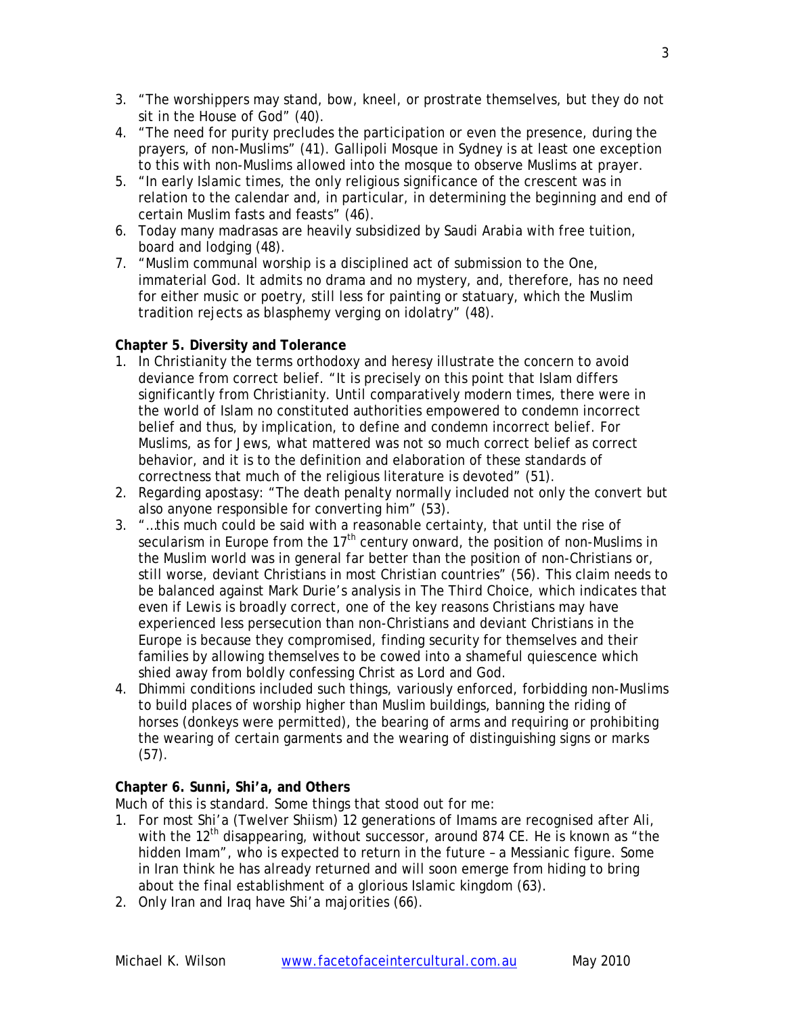- 3. "The worshippers may stand, bow, kneel, or prostrate themselves, but they do not sit in the House of God" (40).
- 4. "The need for purity precludes the participation or even the presence, during the prayers, of non-Muslims" (41). Gallipoli Mosque in Sydney is at least one exception to this with non-Muslims allowed into the mosque to observe Muslims at prayer.
- 5. "In early Islamic times, the only religious significance of the crescent was in relation to the calendar and, in particular, in determining the beginning and end of certain Muslim fasts and feasts" (46).
- 6. Today many *madrasas* are heavily subsidized by Saudi Arabia with free tuition, board and lodging (48).
- 7. "Muslim communal worship is a disciplined act of submission to the One, immaterial God. It admits no drama and no mystery, and, therefore, has no need for either music or poetry, still less for painting or statuary, which the Muslim tradition rejects as blasphemy verging on idolatry" (48).

# **Chapter 5. Diversity and Tolerance**

- 1. In Christianity the terms orthodoxy and heresy illustrate the concern to avoid deviance from correct belief. "It is precisely on this point that Islam differs significantly from Christianity. Until comparatively modern times, there were in the world of Islam no constituted authorities empowered to condemn incorrect belief and thus, by implication, to define and condemn incorrect belief. For Muslims, as for Jews, what mattered was not so much correct belief as correct behavior, and it is to the definition and elaboration of these standards of correctness that much of the religious literature is devoted" (51).
- 2. Regarding apostasy: "The death penalty normally included not only the convert but also anyone responsible for converting him" (53).
- 3. "…this much could be said with a reasonable certainty, that until the rise of secularism in Europe from the  $17<sup>th</sup>$  century onward, the position of non-Muslims in the Muslim world was in general far better than the position of non-Christians or, still worse, deviant Christians in most Christian countries" (56). This claim needs to be balanced against Mark Durie's analysis in *The Third Choice*, which indicates that even if Lewis is broadly correct, one of the key reasons Christians may have experienced less persecution than non-Christians and deviant Christians in the Europe is because they compromised, finding security for themselves and their families by allowing themselves to be cowed into a shameful quiescence which shied away from boldly confessing Christ as Lord and God.
- 4. Dhimmi conditions included such things, variously enforced, forbidding non-Muslims to build places of worship higher than Muslim buildings, banning the riding of horses (donkeys were permitted), the bearing of arms and requiring or prohibiting the wearing of certain garments and the wearing of distinguishing signs or marks (57).

# **Chapter 6. Sunni, Shi'a, and Others**

Much of this is standard. Some things that stood out for me:

- 1. For most Shi'a (Twelver Shiism) 12 generations of Imams are recognised after Ali, with the  $12<sup>th</sup>$  disappearing, without successor, around 874 CE. He is known as "the hidden Imam", who is expected to return in the future – a Messianic figure. Some in Iran think he has already returned and will soon emerge from hiding to bring about the final establishment of a glorious Islamic kingdom (63).
- 2. Only Iran and Iraq have Shi'a majorities (66).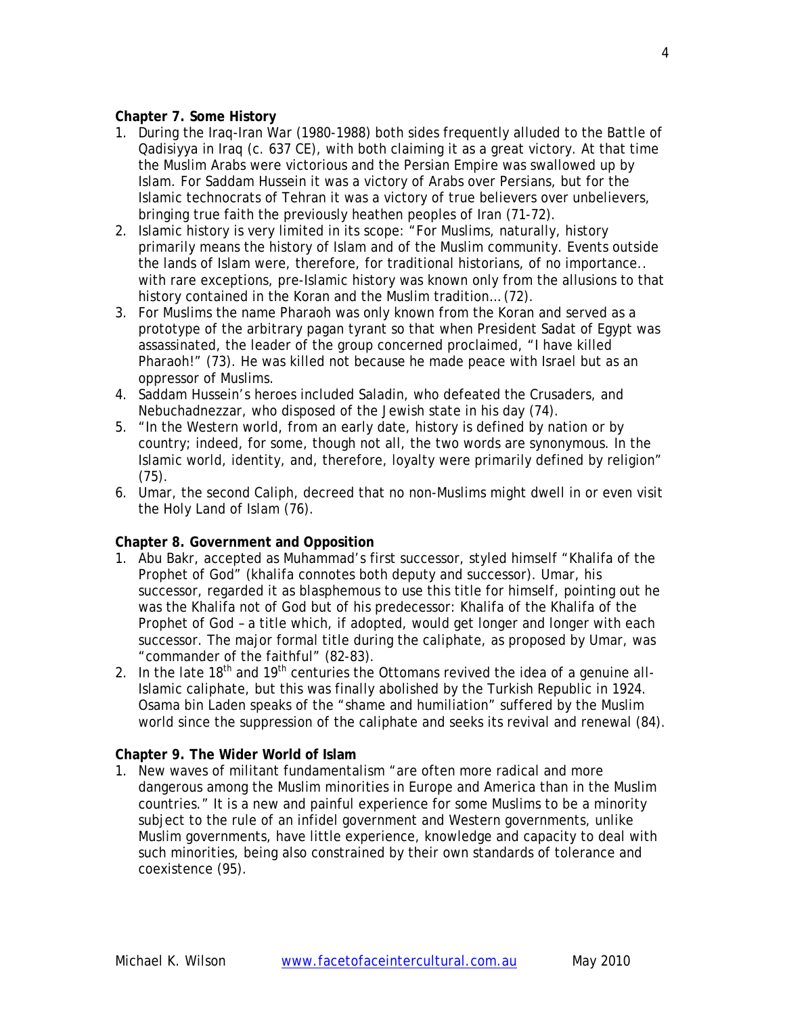#### **Chapter 7. Some History**

- 1. During the Iraq-Iran War (1980-1988) both sides frequently alluded to the Battle of Qadisiyya in Iraq (c. 637 CE), with both claiming it as a great victory. At that time the Muslim Arabs were victorious and the Persian Empire was swallowed up by Islam. For Saddam Hussein it was a victory of Arabs over Persians, but for the Islamic technocrats of Tehran it was a victory of true believers over unbelievers, bringing true faith the previously heathen peoples of Iran (71-72).
- 2. Islamic history is very limited in its scope: "For Muslims, naturally, history primarily means the history of Islam and of the Muslim community. Events outside the lands of Islam were, therefore, for traditional historians, of no importance.. with rare exceptions, pre-Islamic history was known only from the allusions to that history contained in the Koran and the Muslim tradition… (72).
- 3. For Muslims the name Pharaoh was only known from the Koran and served as a prototype of the arbitrary pagan tyrant so that when President Sadat of Egypt was assassinated, the leader of the group concerned proclaimed, "I have killed Pharaoh!" (73). He was killed not because he made peace with Israel but as an oppressor of Muslims.
- 4. Saddam Hussein's heroes included Saladin, who defeated the Crusaders, and Nebuchadnezzar, who disposed of the Jewish state in his day (74).
- 5. "In the Western world, from an early date, history is defined by nation or by country; indeed, for some, though not all, the two words are synonymous. In the Islamic world, identity, and, therefore, loyalty were primarily defined by religion" (75).
- 6. Umar, the second Caliph, decreed that no non-Muslims might dwell in or even visit the Holy Land of Islam (76).

### **Chapter 8. Government and Opposition**

- 1. Abu Bakr, accepted as Muhammad's first successor, styled himself "Khalifa of the Prophet of God" (khalifa connotes both deputy and successor). Umar, his successor, regarded it as blasphemous to use this title for himself, pointing out he was the Khalifa not of God but of his predecessor: Khalifa of the Khalifa of the Prophet of God – a title which, if adopted, would get longer and longer with each successor. The major formal title during the caliphate, as proposed by Umar, was "commander of the faithful" (82-83).
- 2. In the late  $18<sup>th</sup>$  and  $19<sup>th</sup>$  centuries the Ottomans revived the idea of a genuine all-Islamic caliphate, but this was finally abolished by the Turkish Republic in 1924. Osama bin Laden speaks of the "shame and humiliation" suffered by the Muslim world since the suppression of the caliphate and seeks its revival and renewal (84).

### **Chapter 9. The Wider World of Islam**

1. New waves of militant fundamentalism "are often more radical and more dangerous among the Muslim minorities in Europe and America than in the Muslim countries." It is a new and painful experience for some Muslims to be a minority subject to the rule of an infidel government and Western governments, unlike Muslim governments, have little experience, knowledge and capacity to deal with such minorities, being also constrained by their own standards of tolerance and coexistence (95).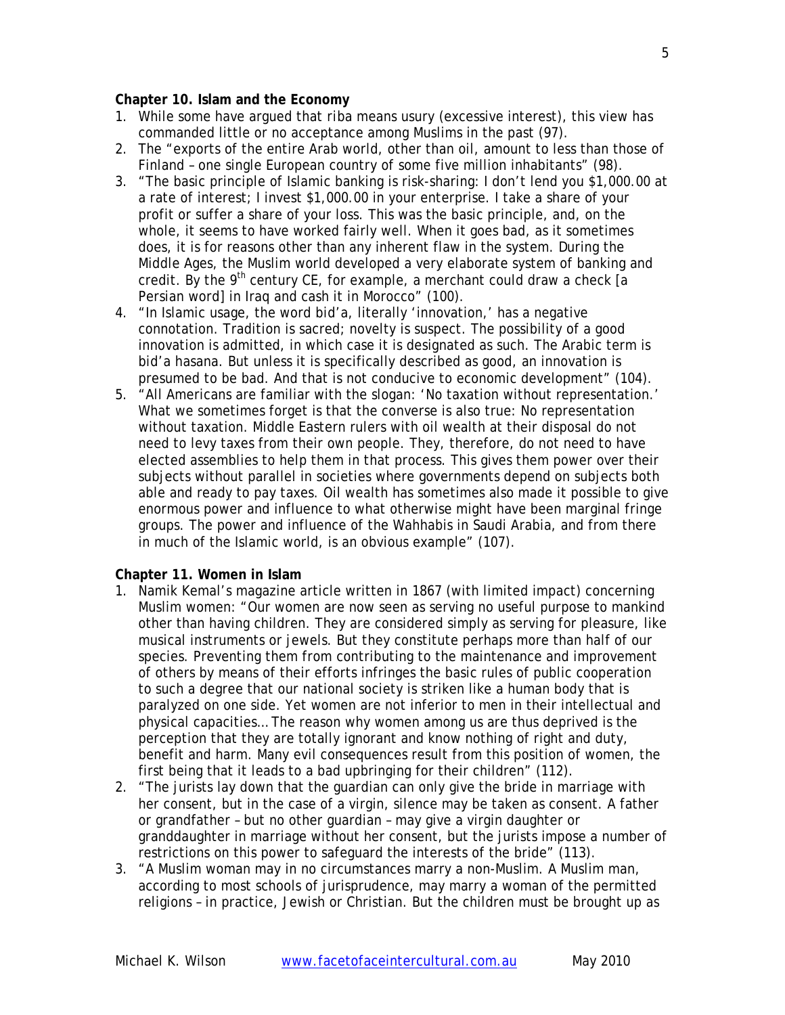#### **Chapter 10. Islam and the Economy**

- 1. While some have argued that *riba* means usury (excessive interest), this view has commanded little or no acceptance among Muslims in the past (97).
- 2. The "exports of the entire Arab world, other than oil, amount to less than those of Finland – one single European country of some five million inhabitants" (98).
- 3. "The basic principle of Islamic banking is risk-sharing: I don't lend you \$1,000.00 at a rate of interest; I invest \$1,000.00 in your enterprise. I take a share of your profit or suffer a share of your loss. This was the basic principle, and, on the whole, it seems to have worked fairly well. When it goes bad, as it sometimes does, it is for reasons other than any inherent flaw in the system. During the Middle Ages, the Muslim world developed a very elaborate system of banking and credit. By the 9<sup>th</sup> century CE, for example, a merchant could draw a check  $[a]$ Persian word] in Iraq and cash it in Morocco" (100).
- 4. "In Islamic usage, the word *bid'a*, literally 'innovation,' has a negative connotation. Tradition is sacred; novelty is suspect. The possibility of a good innovation is admitted, in which case it is designated as such. The Arabic term is *bid'a hasana*. But unless it is specifically described as good, an innovation is presumed to be bad. And that is not conducive to economic development" (104).
- 5. "All Americans are familiar with the slogan: 'No taxation without representation.' What we sometimes forget is that the converse is also true: No representation without taxation. Middle Eastern rulers with oil wealth at their disposal do not need to levy taxes from their own people. They, therefore, do not need to have elected assemblies to help them in that process. This gives them power over their subjects without parallel in societies where governments depend on subjects both able and ready to pay taxes. Oil wealth has sometimes also made it possible to give enormous power and influence to what otherwise might have been marginal fringe groups. The power and influence of the Wahhabis in Saudi Arabia, and from there in much of the Islamic world, is an obvious example" (107).

#### **Chapter 11. Women in Islam**

- 1. Namik Kemal's magazine article written in 1867 (with limited impact) concerning Muslim women: "Our women are now seen as serving no useful purpose to mankind other than having children. They are considered simply as serving for pleasure, like musical instruments or jewels. But they constitute perhaps more than half of our species. Preventing them from contributing to the maintenance and improvement of others by means of their efforts infringes the basic rules of public cooperation to such a degree that our national society is striken like a human body that is paralyzed on one side. Yet women are not inferior to men in their intellectual and physical capacities… The reason why women among us are thus deprived is the perception that they are totally ignorant and know nothing of right and duty, benefit and harm. Many evil consequences result from this position of women, the first being that it leads to a bad upbringing for their children" (112).
- 2. "The jurists lay down that the guardian can only give the bride in marriage with her consent, but in the case of a virgin, silence may be taken as consent. A father or grandfather – but no other guardian – may give a virgin daughter or granddaughter in marriage without her consent, but the jurists impose a number of restrictions on this power to safeguard the interests of the bride" (113).
- 3. "A Muslim woman may in no circumstances marry a non-Muslim. A Muslim man, according to most schools of jurisprudence, may marry a woman of the permitted religions – in practice, Jewish or Christian. But the children must be brought up as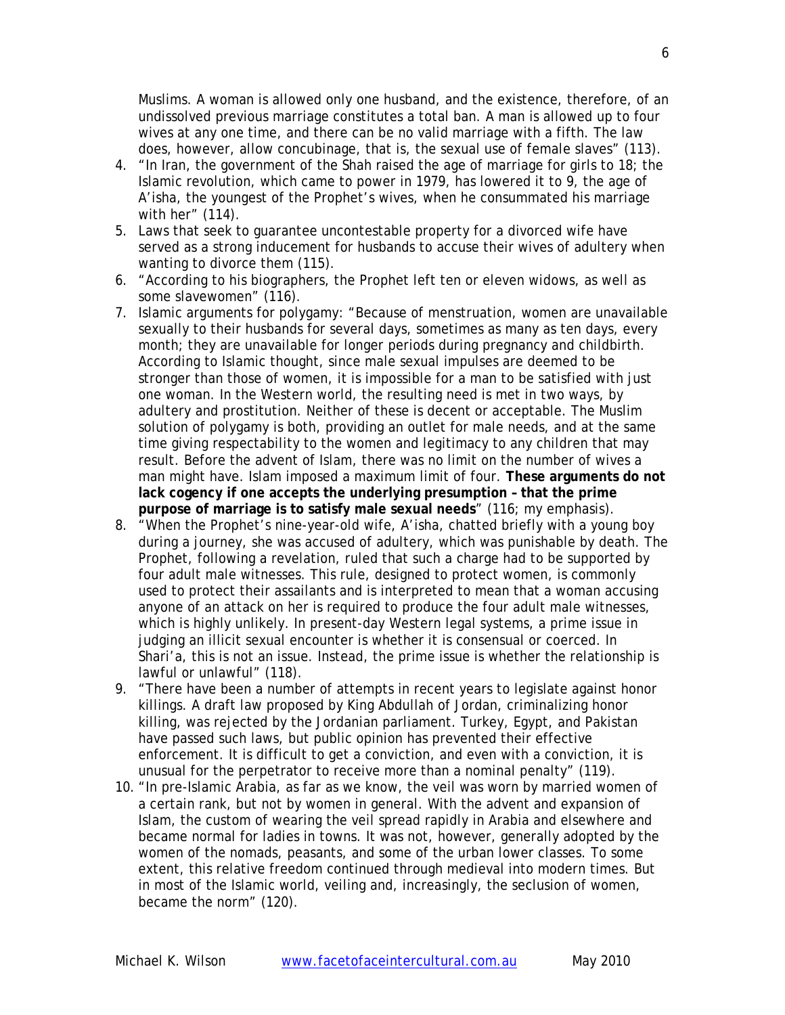Muslims. A woman is allowed only one husband, and the existence, therefore, of an undissolved previous marriage constitutes a total ban. A man is allowed up to four wives at any one time, and there can be no valid marriage with a fifth. The law does, however, allow concubinage, that is, the sexual use of female slaves" (113).

- 4. "In Iran, the government of the Shah raised the age of marriage for girls to 18; the Islamic revolution, which came to power in 1979, has lowered it to 9, the age of A'isha, the youngest of the Prophet's wives, when he consummated his marriage with her" (114).
- 5. Laws that seek to guarantee uncontestable property for a divorced wife have served as a strong inducement for husbands to accuse their wives of adultery when wanting to divorce them (115).
- 6. "According to his biographers, the Prophet left ten or eleven widows, as well as some slavewomen" (116).
- 7. Islamic arguments for polygamy: "Because of menstruation, women are unavailable sexually to their husbands for several days, sometimes as many as ten days, every month; they are unavailable for longer periods during pregnancy and childbirth. According to Islamic thought, since male sexual impulses are deemed to be stronger than those of women, it is impossible for a man to be satisfied with just one woman. In the Western world, the resulting need is met in two ways, by adultery and prostitution. Neither of these is decent or acceptable. The Muslim solution of polygamy is both, providing an outlet for male needs, and at the same time giving respectability to the women and legitimacy to any children that may result. Before the advent of Islam, there was no limit on the number of wives a man might have. Islam imposed a maximum limit of four. **These arguments do not lack cogency if one accepts the underlying presumption – that the prime purpose of marriage is to satisfy male sexual needs**" (116; my emphasis).
- 8. "When the Prophet's nine-year-old wife, A'isha, chatted briefly with a young boy during a journey, she was accused of adultery, which was punishable by death. The Prophet, following a revelation, ruled that such a charge had to be supported by four adult male witnesses. This rule, designed to protect women, is commonly used to protect their assailants and is interpreted to mean that a woman accusing anyone of an attack on her is required to produce the four adult male witnesses, which is highly unlikely. In present-day Western legal systems, a prime issue in judging an illicit sexual encounter is whether it is consensual or coerced. In Shari'a, this is not an issue. Instead, the prime issue is whether the relationship is lawful or unlawful" (118).
- 9. "There have been a number of attempts in recent years to legislate against honor killings. A draft law proposed by King Abdullah of Jordan, criminalizing honor killing, was rejected by the Jordanian parliament. Turkey, Egypt, and Pakistan have passed such laws, but public opinion has prevented their effective enforcement. It is difficult to get a conviction, and even with a conviction, it is unusual for the perpetrator to receive more than a nominal penalty" (119).
- 10. "In pre-Islamic Arabia, as far as we know, the veil was worn by married women of a certain rank, but not by women in general. With the advent and expansion of Islam, the custom of wearing the veil spread rapidly in Arabia and elsewhere and became normal for ladies in towns. It was not, however, generally adopted by the women of the nomads, peasants, and some of the urban lower classes. To some extent, this relative freedom continued through medieval into modern times. But in most of the Islamic world, veiling and, increasingly, the seclusion of women, became the norm" (120).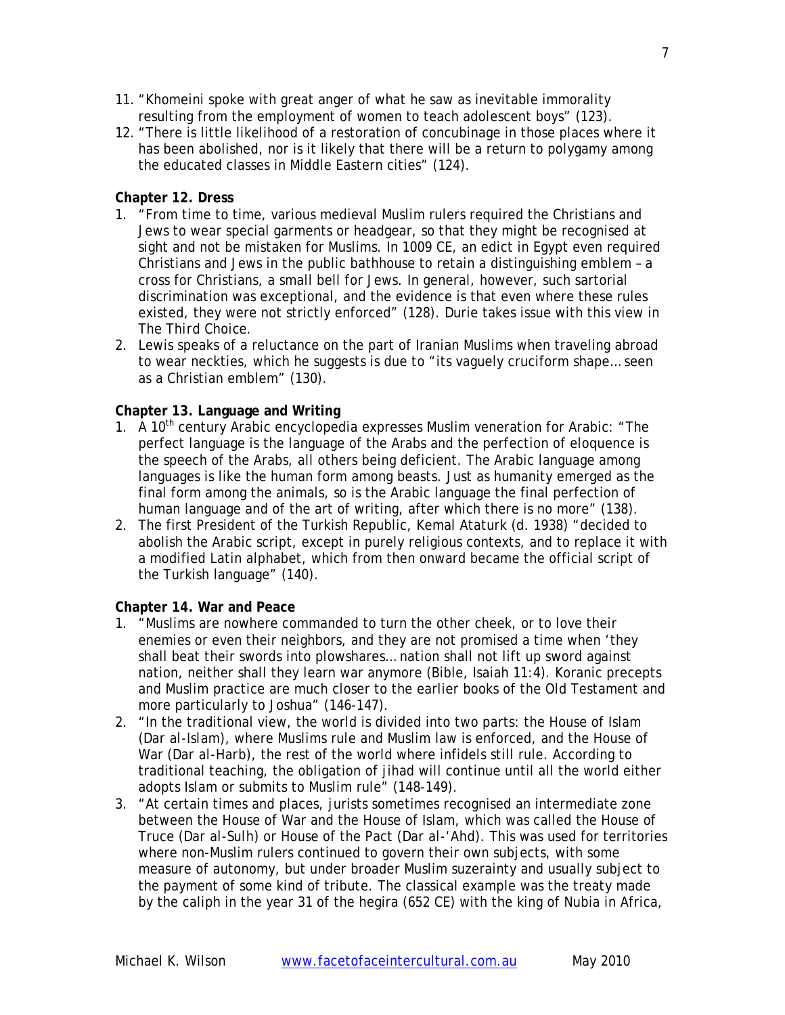- 11. "Khomeini spoke with great anger of what he saw as inevitable immorality resulting from the employment of women to teach adolescent boys" (123).
- 12. "There is little likelihood of a restoration of concubinage in those places where it has been abolished, nor is it likely that there will be a return to polygamy among the educated classes in Middle Eastern cities" (124).

### **Chapter 12. Dress**

- 1. "From time to time, various medieval Muslim rulers required the Christians and Jews to wear special garments or headgear, so that they might be recognised at sight and not be mistaken for Muslims. In 1009 CE, an edict in Egypt even required Christians and Jews in the public bathhouse to retain a distinguishing emblem – a cross for Christians, a small bell for Jews. In general, however, such sartorial discrimination was exceptional, and the evidence is that even where these rules existed, they were not strictly enforced" (128). Durie takes issue with this view in *The Third Choice*.
- 2. Lewis speaks of a reluctance on the part of Iranian Muslims when traveling abroad to wear neckties, which he suggests is due to "its vaguely cruciform shape… seen as a Christian emblem" (130).

### **Chapter 13. Language and Writing**

- 1. A 10<sup>th</sup> century Arabic encyclopedia expresses Muslim veneration for Arabic: "The perfect language is the language of the Arabs and the perfection of eloquence is the speech of the Arabs, all others being deficient. The Arabic language among languages is like the human form among beasts. Just as humanity emerged as the final form among the animals, so is the Arabic language the final perfection of human language and of the art of writing, after which there is no more" (138).
- 2. The first President of the Turkish Republic, Kemal Ataturk (d. 1938) "decided to abolish the Arabic script, except in purely religious contexts, and to replace it with a modified Latin alphabet, which from then onward became the official script of the Turkish language" (140).

#### **Chapter 14. War and Peace**

- 1. "Muslims are nowhere commanded to turn the other cheek, or to love their enemies or even their neighbors, and they are not promised a time when 'they shall beat their swords into plowshares… nation shall not lift up sword against nation, neither shall they learn war anymore (Bible, Isaiah 11:4). Koranic precepts and Muslim practice are much closer to the earlier books of the Old Testament and more particularly to Joshua" (146-147).
- 2. "In the traditional view, the world is divided into two parts: the House of Islam (*Dar al-Islam*), where Muslims rule and Muslim law is enforced, and the House of War (*Dar al-Harb*), the rest of the world where infidels still rule. According to traditional teaching, the obligation of jihad will continue until all the world either adopts Islam or submits to Muslim rule" (148-149).
- 3. "At certain times and places, jurists sometimes recognised an intermediate zone between the House of War and the House of Islam, which was called the House of Truce (*Dar al-Sulh*) or House of the Pact (*Dar al-'Ahd*). This was used for territories where non-Muslim rulers continued to govern their own subjects, with some measure of autonomy, but under broader Muslim suzerainty and usually subject to the payment of some kind of tribute. The classical example was the treaty made by the caliph in the year 31 of the hegira (652 CE) with the king of Nubia in Africa,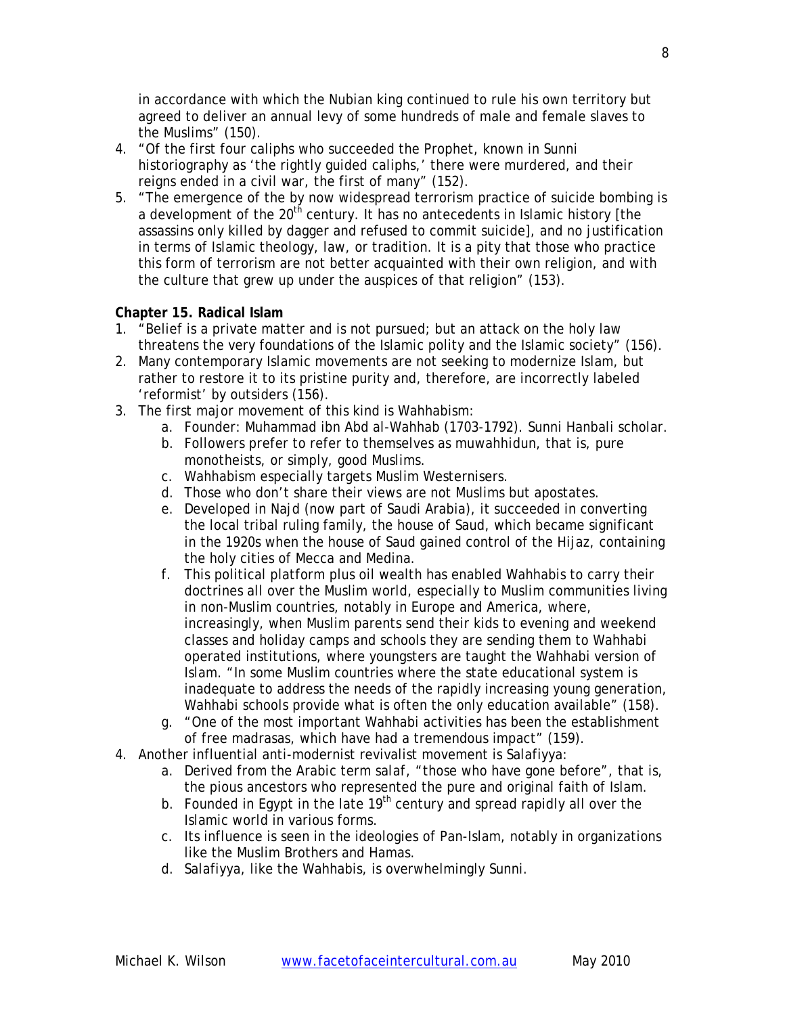in accordance with which the Nubian king continued to rule his own territory but agreed to deliver an annual levy of some hundreds of male and female slaves to the Muslims" (150).

- 4. "Of the first four caliphs who succeeded the Prophet, known in Sunni historiography as 'the rightly guided caliphs,' there were murdered, and their reigns ended in a civil war, the first of many" (152).
- 5. "The emergence of the by now widespread terrorism practice of suicide bombing is a development of the  $20<sup>th</sup>$  century. It has no antecedents in Islamic history [the assassins only killed by dagger and refused to commit suicide], and no justification in terms of Islamic theology, law, or tradition. It is a pity that those who practice this form of terrorism are not better acquainted with their own religion, and with the culture that grew up under the auspices of that religion" (153).

### **Chapter 15. Radical Islam**

- 1. "Belief is a private matter and is not pursued; but an attack on the holy law threatens the very foundations of the Islamic polity and the Islamic society" (156).
- 2. Many contemporary Islamic movements are not seeking to modernize Islam, but rather to restore it to its pristine purity and, therefore, are incorrectly labeled 'reformist' by outsiders (156).
- 3. The first major movement of this kind is Wahhabism:
	- a. Founder: Muhammad ibn Abd al-Wahhab (1703-1792). Sunni Hanbali scholar.
	- b. Followers prefer to refer to themselves as *muwahhidun*, that is, pure monotheists, or simply, good Muslims.
	- c. Wahhabism especially targets Muslim Westernisers.
	- d. Those who don't share their views are not Muslims but apostates.
	- e. Developed in Najd (now part of Saudi Arabia), it succeeded in converting the local tribal ruling family, the house of Saud, which became significant in the 1920s when the house of Saud gained control of the Hijaz, containing the holy cities of Mecca and Medina.
	- f. This political platform plus oil wealth has enabled Wahhabis to carry their doctrines all over the Muslim world, especially to Muslim communities living in non-Muslim countries, notably in Europe and America, where, increasingly, when Muslim parents send their kids to evening and weekend classes and holiday camps and schools they are sending them to Wahhabi operated institutions, where youngsters are taught the Wahhabi version of Islam. "In some Muslim countries where the state educational system is inadequate to address the needs of the rapidly increasing young generation, Wahhabi schools provide what is often the only education available" (158).
	- g. "One of the most important Wahhabi activities has been the establishment of free madrasas, which have had a tremendous impact" (159).
- 4. Another influential anti-modernist revivalist movement is Salafiyya:
	- a. Derived from the Arabic term *salaf*, "those who have gone before", that is, the pious ancestors who represented the pure and original faith of Islam.
	- b. Founded in Egypt in the late  $19<sup>th</sup>$  century and spread rapidly all over the Islamic world in various forms.
	- c. Its influence is seen in the ideologies of Pan-Islam, notably in organizations like the Muslim Brothers and Hamas.
	- d. Salafiyya, like the Wahhabis, is overwhelmingly Sunni.